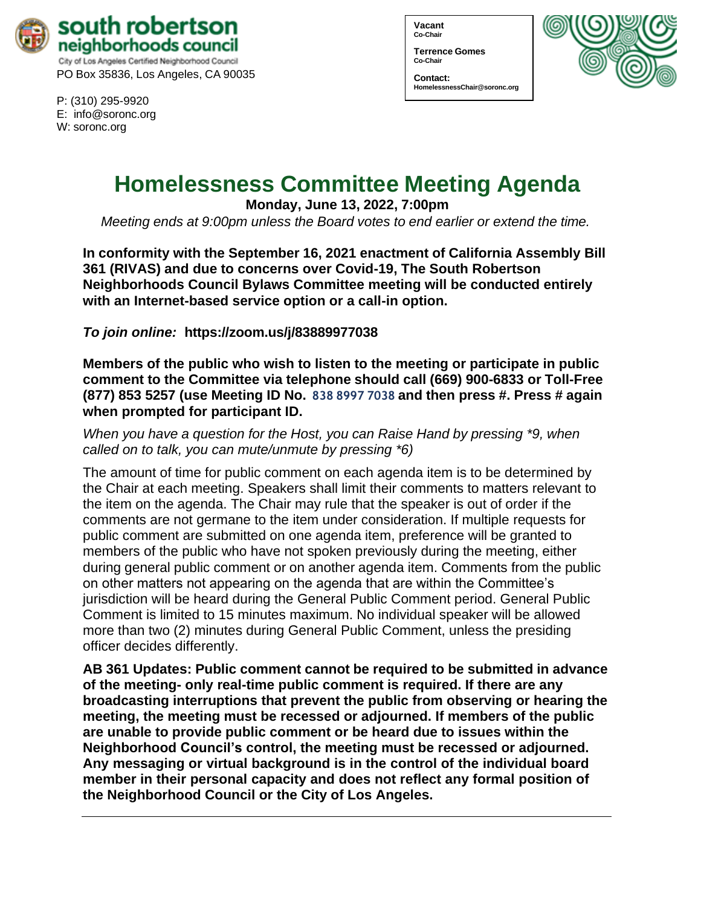

P: (310) 295-9920 E: [info@soronc.org](mailto:info@soronc.org) W: soronc.org

**Vacant Co-Chair**

**Terrence Gomes Co-Chair**

**Contact: [HomelessnessChair@soronc.org](mailto:HomelessnessChair@soronc.org)**



# **Homelessness Committee Meeting Agenda**

**Monday, June 13, 2022, 7:00pm**

*Meeting ends at 9:00pm unless the Board votes to end earlier or extend the time.*

**In conformity with the September 16, 2021 enactment of California Assembly Bill 361 (RIVAS) and due to concerns over Covid-19, The South Robertson Neighborhoods Council Bylaws Committee meeting will be conducted entirely with an Internet-based service option or a call-in option.**

*To join online:* **<https://zoom.us/j/83889977038>**

**Members of the public who wish to listen to the meeting or participate in public comment to the Committee via telephone should call (669) 900-6833 or Toll-Free (877) 853 5257 (use Meeting ID No. 838 8997 7038 and then press #. Press # again when prompted for participant ID.**

# *When you have a question for the Host, you can Raise Hand by pressing \*9, when called on to talk, you can mute/unmute by pressing \*6)*

The amount of time for public comment on each agenda item is to be determined by the Chair at each meeting. Speakers shall limit their comments to matters relevant to the item on the agenda. The Chair may rule that the speaker is out of order if the comments are not germane to the item under consideration. If multiple requests for public comment are submitted on one agenda item, preference will be granted to members of the public who have not spoken previously during the meeting, either during general public comment or on another agenda item. Comments from the public on other matters not appearing on the agenda that are within the Committee's jurisdiction will be heard during the General Public Comment period. General Public Comment is limited to 15 minutes maximum. No individual speaker will be allowed more than two (2) minutes during General Public Comment, unless the presiding officer decides differently.

**AB 361 Updates: Public comment cannot be required to be submitted in advance of the meeting- only real-time public comment is required. If there are any broadcasting interruptions that prevent the public from observing or hearing the meeting, the meeting must be recessed or adjourned. If members of the public are unable to provide public comment or be heard due to issues within the Neighborhood Council's control, the meeting must be recessed or adjourned. Any messaging or virtual background is in the control of the individual board member in their personal capacity and does not reflect any formal position of the Neighborhood Council or the City of Los Angeles.**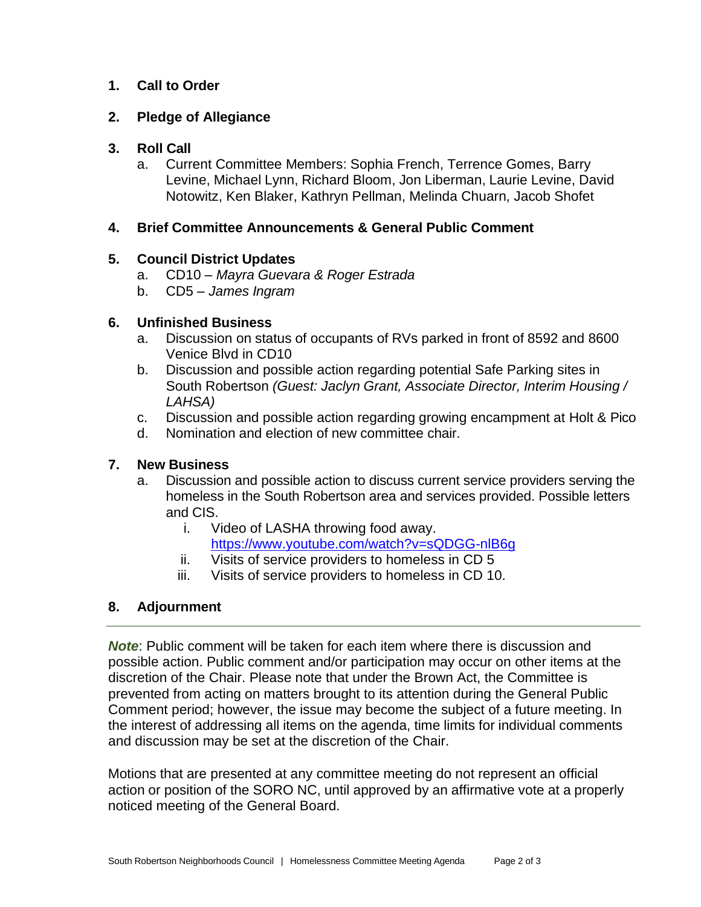# **1. Call to Order**

#### **2. Pledge of Allegiance**

# **3. Roll Call**

a. Current Committee Members: Sophia French, Terrence Gomes, Barry Levine, Michael Lynn, Richard Bloom, Jon Liberman, Laurie Levine, David Notowitz, Ken Blaker, Kathryn Pellman, Melinda Chuarn, Jacob Shofet

## **4. Brief Committee Announcements & General Public Comment**

### **5. Council District Updates**

- a. CD10 *Mayra Guevara & Roger Estrada*
- b. CD5 *James Ingram*

### **6. Unfinished Business**

- a. Discussion on status of occupants of RVs parked in front of 8592 and 8600 Venice Blvd in CD10
- b. Discussion and possible action regarding potential Safe Parking sites in South Robertson *(Guest: Jaclyn Grant, Associate Director, Interim Housing / LAHSA)*
- c. Discussion and possible action regarding growing encampment at Holt & Pico
- d. Nomination and election of new committee chair.

# **7. New Business**

- a. Discussion and possible action to discuss current service providers serving the homeless in the South Robertson area and services provided. Possible letters and CIS.
	- i. Video of LASHA throwing food away. <https://www.youtube.com/watch?v=sQDGG-nlB6g>
	- ii. Visits of service providers to homeless in CD 5
	- iii. Visits of service providers to homeless in CD 10.

# **8. Adjournment**

*Note*: Public comment will be taken for each item where there is discussion and possible action. Public comment and/or participation may occur on other items at the discretion of the Chair. Please note that under the Brown Act, the Committee is prevented from acting on matters brought to its attention during the General Public Comment period; however, the issue may become the subject of a future meeting. In the interest of addressing all items on the agenda, time limits for individual comments and discussion may be set at the discretion of the Chair.

Motions that are presented at any committee meeting do not represent an official action or position of the SORO NC, until approved by an affirmative vote at a properly noticed meeting of the General Board.